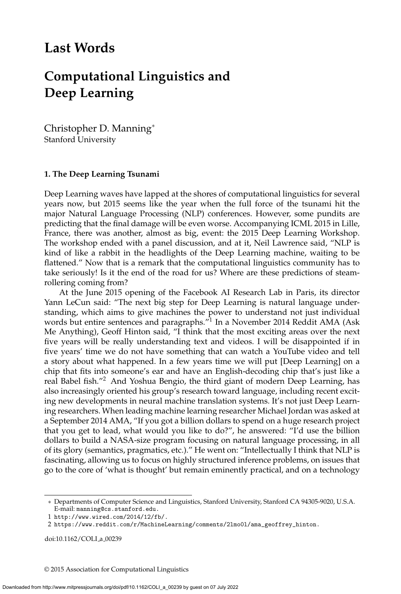## **Last Words**

# **Computational Linguistics and Deep Learning**

Christopher D. Manning<sup>∗</sup> Stanford University

#### **1. The Deep Learning Tsunami**

Deep Learning waves have lapped at the shores of computational linguistics for several years now, but 2015 seems like the year when the full force of the tsunami hit the major Natural Language Processing (NLP) conferences. However, some pundits are predicting that the final damage will be even worse. Accompanying ICML 2015 in Lille, France, there was another, almost as big, event: the 2015 Deep Learning Workshop. The workshop ended with a panel discussion, and at it, Neil Lawrence said, "NLP is kind of like a rabbit in the headlights of the Deep Learning machine, waiting to be flattened." Now that is a remark that the computational linguistics community has to take seriously! Is it the end of the road for us? Where are these predictions of steamrollering coming from?

At the June 2015 opening of the Facebook AI Research Lab in Paris, its director Yann LeCun said: "The next big step for Deep Learning is natural language understanding, which aims to give machines the power to understand not just individual words but entire sentences and paragraphs."<sup>1</sup> In a November 2014 Reddit AMA (Ask Me Anything), Geoff Hinton said, "I think that the most exciting areas over the next five years will be really understanding text and videos. I will be disappointed if in five years' time we do not have something that can watch a YouTube video and tell a story about what happened. In a few years time we will put [Deep Learning] on a chip that fits into someone's ear and have an English-decoding chip that's just like a real Babel fish."<sup>2</sup> And Yoshua Bengio, the third giant of modern Deep Learning, has also increasingly oriented his group's research toward language, including recent exciting new developments in neural machine translation systems. It's not just Deep Learning researchers. When leading machine learning researcher Michael Jordan was asked at a September 2014 AMA, "If you got a billion dollars to spend on a huge research project that you get to lead, what would you like to do?", he answered: "I'd use the billion dollars to build a NASA-size program focusing on natural language processing, in all of its glory (semantics, pragmatics, etc.)." He went on: "Intellectually I think that NLP is fascinating, allowing us to focus on highly structured inference problems, on issues that go to the core of 'what is thought' but remain eminently practical, and on a technology

doi:10.1162/COLI\_a\_00239

© 2015 Association for Computational Linguistics

<sup>∗</sup> Departments of Computer Science and Linguistics, Stanford University, Stanford CA 94305-9020, U.S.A. E-mail: manning@cs.stanford.edu.

<sup>1</sup> http://www.wired.com/2014/12/fb/.

<sup>2</sup> https://www.reddit.com/r/MachineLearning/comments/2lmo0l/ama\_geoffrey\_hinton.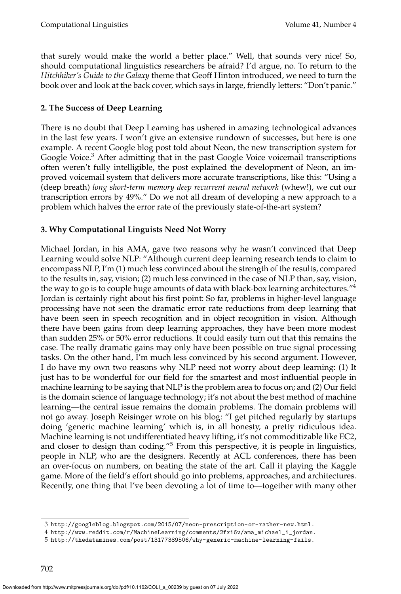that surely would make the world a better place." Well, that sounds very nice! So, should computational linguistics researchers be afraid? I'd argue, no. To return to the *Hitchhiker's Guide to the Galaxy* theme that Geoff Hinton introduced, we need to turn the book over and look at the back cover, which says in large, friendly letters: "Don't panic."

### **2. The Success of Deep Learning**

There is no doubt that Deep Learning has ushered in amazing technological advances in the last few years. I won't give an extensive rundown of successes, but here is one example. A recent Google blog post told about Neon, the new transcription system for Google Voice.<sup>3</sup> After admitting that in the past Google Voice voicemail transcriptions often weren't fully intelligible, the post explained the development of Neon, an improved voicemail system that delivers more accurate transcriptions, like this: "Using a (deep breath) *long short-term memory deep recurrent neural network* (whew!), we cut our transcription errors by 49%." Do we not all dream of developing a new approach to a problem which halves the error rate of the previously state-of-the-art system?

#### **3. Why Computational Linguists Need Not Worry**

Michael Jordan, in his AMA, gave two reasons why he wasn't convinced that Deep Learning would solve NLP: "Although current deep learning research tends to claim to encompass NLP, I'm (1) much less convinced about the strength of the results, compared to the results in, say, vision; (2) much less convinced in the case of NLP than, say, vision, the way to go is to couple huge amounts of data with black-box learning architectures."<sup>4</sup> Jordan is certainly right about his first point: So far, problems in higher-level language processing have not seen the dramatic error rate reductions from deep learning that have been seen in speech recognition and in object recognition in vision. Although there have been gains from deep learning approaches, they have been more modest than sudden 25% or 50% error reductions. It could easily turn out that this remains the case. The really dramatic gains may only have been possible on true signal processing tasks. On the other hand, I'm much less convinced by his second argument. However, I do have my own two reasons why NLP need not worry about deep learning: (1) It just has to be wonderful for our field for the smartest and most influential people in machine learning to be saying that NLP is the problem area to focus on; and (2) Our field is the domain science of language technology; it's not about the best method of machine learning—the central issue remains the domain problems. The domain problems will not go away. Joseph Reisinger wrote on his blog: "I get pitched regularly by startups doing 'generic machine learning' which is, in all honesty, a pretty ridiculous idea. Machine learning is not undifferentiated heavy lifting, it's not commoditizable like EC2, and closer to design than coding."<sup>5</sup> From this perspective, it is people in linguistics, people in NLP, who are the designers. Recently at ACL conferences, there has been an over-focus on numbers, on beating the state of the art. Call it playing the Kaggle game. More of the field's effort should go into problems, approaches, and architectures. Recently, one thing that I've been devoting a lot of time to—together with many other

<sup>3</sup> http://googleblog.blogspot.com/2015/07/neon-prescription-or-rather-new.html.

<sup>4</sup> http://www.reddit.com/r/MachineLearning/comments/2fxi6v/ama\_michael\_i\_jordan.

<sup>5</sup> http://thedatamines.com/post/13177389506/why-generic-machine-learning-fails.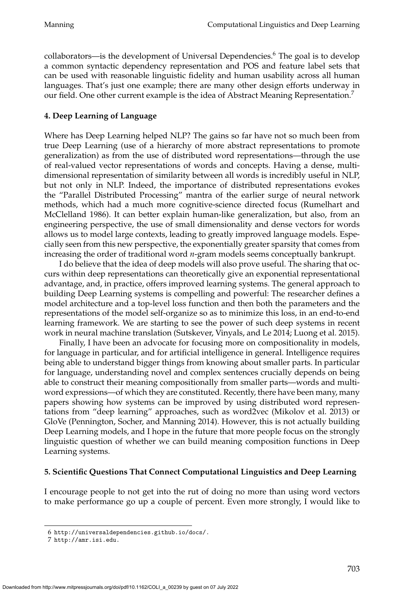collaborators—is the development of Universal Dependencies.<sup>6</sup> The goal is to develop a common syntactic dependency representation and POS and feature label sets that can be used with reasonable linguistic fidelity and human usability across all human languages. That's just one example; there are many other design efforts underway in our field. One other current example is the idea of Abstract Meaning Representation.<sup>7</sup>

#### **4. Deep Learning of Language**

Where has Deep Learning helped NLP? The gains so far have not so much been from true Deep Learning (use of a hierarchy of more abstract representations to promote generalization) as from the use of distributed word representations—through the use of real-valued vector representations of words and concepts. Having a dense, multidimensional representation of similarity between all words is incredibly useful in NLP, but not only in NLP. Indeed, the importance of distributed representations evokes the "Parallel Distributed Processing" mantra of the earlier surge of neural network methods, which had a much more cognitive-science directed focus (Rumelhart and McClelland 1986). It can better explain human-like generalization, but also, from an engineering perspective, the use of small dimensionality and dense vectors for words allows us to model large contexts, leading to greatly improved language models. Especially seen from this new perspective, the exponentially greater sparsity that comes from increasing the order of traditional word *n*-gram models seems conceptually bankrupt.

I do believe that the idea of deep models will also prove useful. The sharing that occurs within deep representations can theoretically give an exponential representational advantage, and, in practice, offers improved learning systems. The general approach to building Deep Learning systems is compelling and powerful: The researcher defines a model architecture and a top-level loss function and then both the parameters and the representations of the model self-organize so as to minimize this loss, in an end-to-end learning framework. We are starting to see the power of such deep systems in recent work in neural machine translation (Sutskever, Vinyals, and Le 2014; Luong et al. 2015).

Finally, I have been an advocate for focusing more on compositionality in models, for language in particular, and for artificial intelligence in general. Intelligence requires being able to understand bigger things from knowing about smaller parts. In particular for language, understanding novel and complex sentences crucially depends on being able to construct their meaning compositionally from smaller parts—words and multiword expressions—of which they are constituted. Recently, there have been many, many papers showing how systems can be improved by using distributed word representations from "deep learning" approaches, such as word2vec (Mikolov et al. 2013) or GloVe (Pennington, Socher, and Manning 2014). However, this is not actually building Deep Learning models, and I hope in the future that more people focus on the strongly linguistic question of whether we can build meaning composition functions in Deep Learning systems.

#### **5. Scientific Questions That Connect Computational Linguistics and Deep Learning**

I encourage people to not get into the rut of doing no more than using word vectors to make performance go up a couple of percent. Even more strongly, I would like to

<sup>6</sup> http://universaldependencies.github.io/docs/.

<sup>7</sup> http://amr.isi.edu.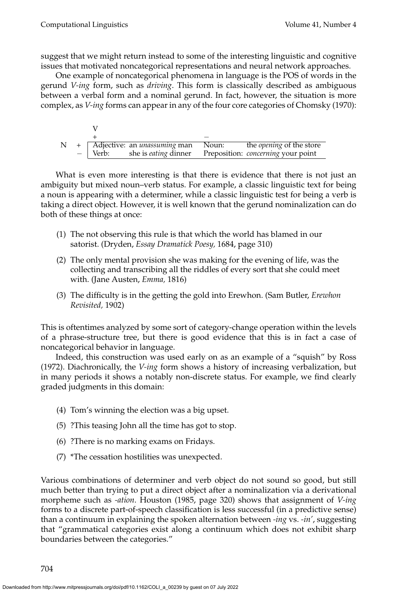suggest that we might return instead to some of the interesting linguistic and cognitive issues that motivated noncategorical representations and neural network approaches.

One example of noncategorical phenomena in language is the POS of words in the gerund *V-ing* form, such as *driving*. This form is classically described as ambiguous between a verbal form and a nominal gerund. In fact, however, the situation is more complex, as *V-ing* forms can appear in any of the four core categories of Chomsky (1970):

| N |             | + Adjective: an <i>unassuming</i> man Noun: | the <i>opening</i> of the store           |
|---|-------------|---------------------------------------------|-------------------------------------------|
|   | $-$   Verb: | she is <i>eating</i> dinner                 | Preposition: <i>concerning</i> your point |

What is even more interesting is that there is evidence that there is not just an ambiguity but mixed noun–verb status. For example, a classic linguistic text for being a noun is appearing with a determiner, while a classic linguistic test for being a verb is taking a direct object. However, it is well known that the gerund nominalization can do both of these things at once:

- (1) The not observing this rule is that which the world has blamed in our satorist. (Dryden, *Essay Dramatick Poesy,* 1684, page 310)
- (2) The only mental provision she was making for the evening of life, was the collecting and transcribing all the riddles of every sort that she could meet with. (Jane Austen, *Emma,* 1816)
- (3) The difficulty is in the getting the gold into Erewhon. (Sam Butler, *Erewhon Revisited,* 1902)

This is oftentimes analyzed by some sort of category-change operation within the levels of a phrase-structure tree, but there is good evidence that this is in fact a case of noncategorical behavior in language.

Indeed, this construction was used early on as an example of a "squish" by Ross (1972). Diachronically, the *V-ing* form shows a history of increasing verbalization, but in many periods it shows a notably non-discrete status. For example, we find clearly graded judgments in this domain:

- (4) Tom's winning the election was a big upset.
- (5) ?This teasing John all the time has got to stop.
- (6) ?There is no marking exams on Fridays.
- (7) \*The cessation hostilities was unexpected.

Various combinations of determiner and verb object do not sound so good, but still much better than trying to put a direct object after a nominalization via a derivational morpheme such as *-ation*. Houston (1985, page 320) shows that assignment of *V-ing* forms to a discrete part-of-speech classification is less successful (in a predictive sense) than a continuum in explaining the spoken alternation between *-ing* vs. *-in'*, suggesting that "grammatical categories exist along a continuum which does not exhibit sharp boundaries between the categories."

704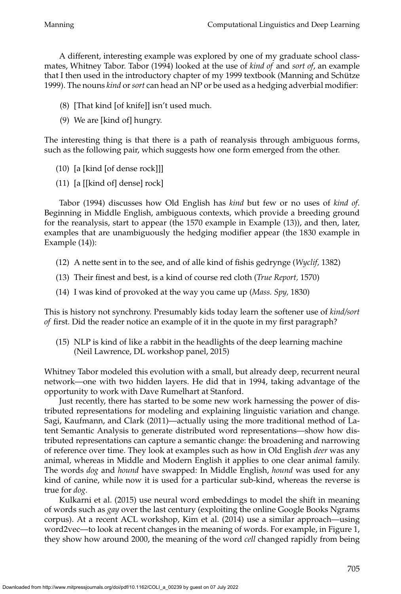A different, interesting example was explored by one of my graduate school classmates, Whitney Tabor. Tabor (1994) looked at the use of *kind of* and *sort of*, an example that I then used in the introductory chapter of my 1999 textbook (Manning and Schütze 1999). The nouns *kind* or*sort* can head an NP or be used as a hedging adverbial modifier:

- (8) [That kind [of knife]] isn't used much.
- (9) We are [kind of] hungry.

The interesting thing is that there is a path of reanalysis through ambiguous forms, such as the following pair, which suggests how one form emerged from the other.

- (10) [a [kind [of dense rock]]]
- (11) [a [[kind of] dense] rock]

Tabor (1994) discusses how Old English has *kind* but few or no uses of *kind of*. Beginning in Middle English, ambiguous contexts, which provide a breeding ground for the reanalysis, start to appear (the 1570 example in Example (13)), and then, later, examples that are unambiguously the hedging modifier appear (the 1830 example in Example (14)):

- (12) A nette sent in to the see, and of alle kind of fishis gedrynge (*Wyclif,* 1382)
- (13) Their finest and best, is a kind of course red cloth (*True Report,* 1570)
- (14) I was kind of provoked at the way you came up (*Mass. Spy,* 1830)

This is history not synchrony. Presumably kids today learn the softener use of *kind/sort of* first. Did the reader notice an example of it in the quote in my first paragraph?

(15) NLP is kind of like a rabbit in the headlights of the deep learning machine (Neil Lawrence, DL workshop panel, 2015)

Whitney Tabor modeled this evolution with a small, but already deep, recurrent neural network—one with two hidden layers. He did that in 1994, taking advantage of the opportunity to work with Dave Rumelhart at Stanford.

Just recently, there has started to be some new work harnessing the power of distributed representations for modeling and explaining linguistic variation and change. Sagi, Kaufmann, and Clark (2011)—actually using the more traditional method of Latent Semantic Analysis to generate distributed word representations—show how distributed representations can capture a semantic change: the broadening and narrowing of reference over time. They look at examples such as how in Old English *deer* was any animal, whereas in Middle and Modern English it applies to one clear animal family. The words *dog* and *hound* have swapped: In Middle English, *hound* was used for any kind of canine, while now it is used for a particular sub-kind, whereas the reverse is true for *dog*.

Kulkarni et al. (2015) use neural word embeddings to model the shift in meaning of words such as *gay* over the last century (exploiting the online Google Books Ngrams corpus). At a recent ACL workshop, Kim et al. (2014) use a similar approach—using word2vec—to look at recent changes in the meaning of words. For example, in Figure 1, they show how around 2000, the meaning of the word *cell* changed rapidly from being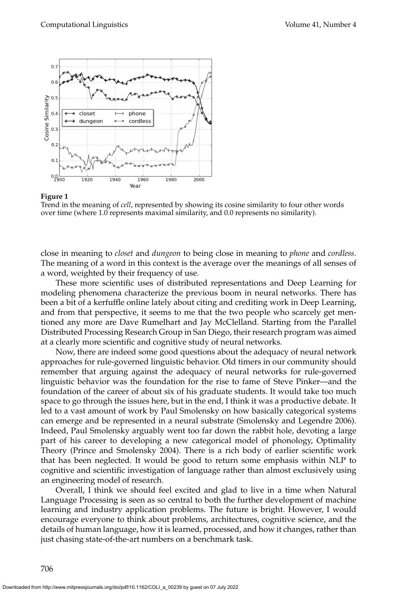

#### **Figure 1**

Trend in the meaning of *cell*, represented by showing its cosine similarity to four other words over time (where 1.0 represents maximal similarity, and 0.0 represents no similarity).

close in meaning to *closet* and *dungeon* to being close in meaning to *phone* and *cordless*. The meaning of a word in this context is the average over the meanings of all senses of a word, weighted by their frequency of use.

These more scientific uses of distributed representations and Deep Learning for modeling phenomena characterize the previous boom in neural networks. There has been a bit of a kerfuffle online lately about citing and crediting work in Deep Learning, and from that perspective, it seems to me that the two people who scarcely get mentioned any more are Dave Rumelhart and Jay McClelland. Starting from the Parallel Distributed Processing Research Group in San Diego, their research program was aimed at a clearly more scientific and cognitive study of neural networks.

Now, there are indeed some good questions about the adequacy of neural network approaches for rule-governed linguistic behavior. Old timers in our community should remember that arguing against the adequacy of neural networks for rule-governed linguistic behavior was the foundation for the rise to fame of Steve Pinker—and the foundation of the career of about six of his graduate students. It would take too much space to go through the issues here, but in the end, I think it was a productive debate. It led to a vast amount of work by Paul Smolensky on how basically categorical systems can emerge and be represented in a neural substrate (Smolensky and Legendre 2006). Indeed, Paul Smolensky arguably went too far down the rabbit hole, devoting a large part of his career to developing a new categorical model of phonology, Optimality Theory (Prince and Smolensky 2004). There is a rich body of earlier scientific work that has been neglected. It would be good to return some emphasis within NLP to cognitive and scientific investigation of language rather than almost exclusively using an engineering model of research.

Overall, I think we should feel excited and glad to live in a time when Natural Language Processing is seen as so central to both the further development of machine learning and industry application problems. The future is bright. However, I would encourage everyone to think about problems, architectures, cognitive science, and the details of human language, how it is learned, processed, and how it changes, rather than just chasing state-of-the-art numbers on a benchmark task.